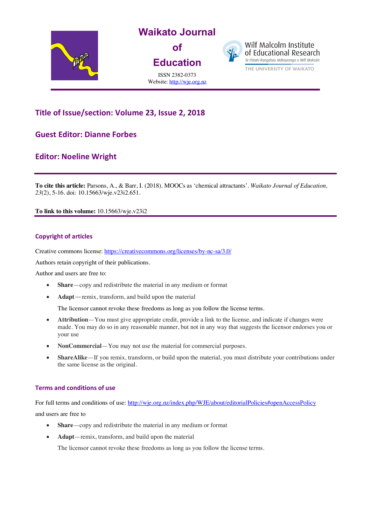

# **Title of Issue/section: Volume 23, Issue 2, 2018**

# **Guest Editor: Dianne Forbes**

# **Editor: Noeline Wright**

**To cite this article:** Parsons, A., & Barr, I. (2018). MOOCs as 'chemical attractants'. *Waikato Journal of Education, 23*(2), 5-16. doi: 10.15663/wje.v23i2.651.

**To link to this volume:** 10.15663/wje.v23i2

### **Copyright of articles**

Creative commons license: https://creativecommons.org/licenses/by-nc-sa/3.0/

Authors retain copyright of their publications.

Author and users are free to:

- **Share**—copy and redistribute the material in any medium or format
- **Adapt**—remix, transform, and build upon the material

The licensor cannot revoke these freedoms as long as you follow the license terms.

- **Attribution**—You must give appropriate credit, provide a link to the license, and indicate if changes were made. You may do so in any reasonable manner, but not in any way that suggests the licensor endorses you or your use
- **NonCommercial**—You may not use the material for commercial purposes.
- **ShareAlike**—If you remix, transform, or build upon the material, you must distribute your contributions under the same license as the original.

### **Terms and conditions of use**

For full terms and conditions of use: http://wje.org.nz/index.php/WJE/about/editorialPolicies#openAccessPolicy and users are free to

- **Share**—copy and redistribute the material in any medium or format
- **Adapt**—remix, transform, and build upon the material

The licensor cannot revoke these freedoms as long as you follow the license terms.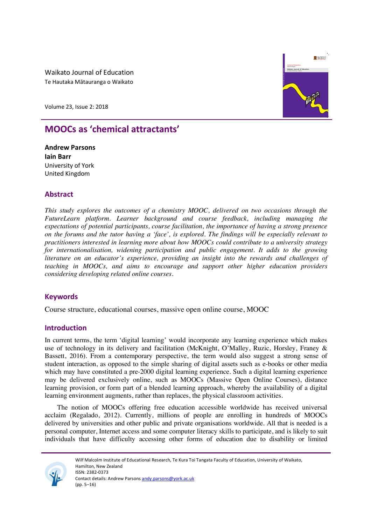Waikato Journal of Education Te Hautaka Mātauranga o Waikato

**WAIKATO** *School of Education* Te Kura Toi Tangata **Waikato Journal of Education Waikato Journal of Education**

Volume 23, Issue 2: 2018

# **MOOCs as 'chemical attractants'**

**Andrew Parsons Iain Barr** University of York United Kingdom

# **Abstract**

*This study explores the outcomes of a chemistry MOOC, delivered on two occasions through the FutureLearn platform. Learner background and course feedback, including managing the expectations of potential participants, course facilitation, the importance of having a strong presence on the forums and the tutor having a 'face', is explored. The findings will be especially relevant to practitioners interested in learning more about how MOOCs could contribute to a university strategy for internationalisation, widening participation and public engagement. It adds to the growing literature on an educator's experience, providing an insight into the rewards and challenges of teaching in MOOCs, and aims to encourage and support other higher education providers considering developing related online courses.*

# **Keywords**

Course structure, educational courses, massive open online course, MOOC

# **Introduction**

In current terms, the term 'digital learning' would incorporate any learning experience which makes use of technology in its delivery and facilitation (McKnight, O'Malley, Ruzic, Horsley, Franey & Bassett, 2016). From a contemporary perspective, the term would also suggest a strong sense of student interaction, as opposed to the simple sharing of digital assets such as e-books or other media which may have constituted a pre-2000 digital learning experience. Such a digital learning experience may be delivered exclusively online, such as MOOCs (Massive Open Online Courses), distance learning provision, or form part of a blended learning approach, whereby the availability of a digital learning environment augments, rather than replaces, the physical classroom activities.

The notion of MOOCs offering free education accessible worldwide has received universal acclaim (Regalado, 2012). Currently, millions of people are enrolling in hundreds of MOOCs delivered by universities and other public and private organisations worldwide. All that is needed is a personal computer, Internet access and some computer literacy skills to participate, and is likely to suit individuals that have difficulty accessing other forms of education due to disability or limited



Wilf Malcolm Institute of Educational Research, Te Kura Toi Tangata Faculty of Education, University of Waikato, Hamilton, New Zealand ISSN: 2382-0373 Contact details: Andrew Parsons andy.parsons@york.ac.uk (pp. 5–16)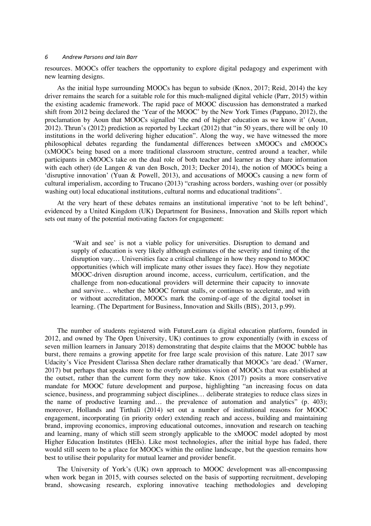resources. MOOCs offer teachers the opportunity to explore digital pedagogy and experiment with new learning designs.

As the initial hype surrounding MOOCs has begun to subside (Knox, 2017; Reid, 2014) the key driver remains the search for a suitable role for this much-maligned digital vehicle (Parr, 2015) within the existing academic framework. The rapid pace of MOOC discussion has demonstrated a marked shift from 2012 being declared the 'Year of the MOOC' by the New York Times (Pappano, 2012), the proclamation by Aoun that MOOCs signalled 'the end of higher education as we know it' (Aoun, 2012). Thrun's (2012) prediction as reported by Leckart (2012) that "in 50 years, there will be only 10 institutions in the world delivering higher education". Along the way, we have witnessed the more philosophical debates regarding the fundamental differences between xMOOCs and cMOOCs (xMOOCs being based on a more traditional classroom structure, centred around a teacher, while participants in cMOOCs take on the dual role of both teacher and learner as they share information with each other) (de Langen & van den Bosch, 2013; Decker 2014), the notion of MOOCs being a 'disruptive innovation' (Yuan & Powell, 2013), and accusations of MOOCs causing a new form of cultural imperialism, according to Trucano (2013) "crashing across borders, washing over (or possibly washing out) local educational institutions, cultural norms and educational traditions".

At the very heart of these debates remains an institutional imperative 'not to be left behind', evidenced by a United Kingdom (UK) Department for Business, Innovation and Skills report which sets out many of the potential motivating factors for engagement:

'Wait and see' is not a viable policy for universities. Disruption to demand and supply of education is very likely although estimates of the severity and timing of the disruption vary… Universities face a critical challenge in how they respond to MOOC opportunities (which will implicate many other issues they face). How they negotiate MOOC-driven disruption around income, access, curriculum, certification, and the challenge from non-educational providers will determine their capacity to innovate and survive… whether the MOOC format stalls, or continues to accelerate, and with or without accreditation, MOOCs mark the coming-of-age of the digital toolset in learning. (The Department for Business, Innovation and Skills (BIS), 2013, p.99).

The number of students registered with FutureLearn (a digital education platform, founded in 2012, and owned by The Open University, UK) continues to grow exponentially (with in excess of seven million learners in January 2018) demonstrating that despite claims that the MOOC bubble has burst, there remains a growing appetite for free large scale provision of this nature. Late 2017 saw Udacity's Vice President Clarissa Shen declare rather dramatically that MOOCs 'are dead.' (Warner, 2017) but perhaps that speaks more to the overly ambitious vision of MOOCs that was established at the outset, rather than the current form they now take. Knox (2017) posits a more conservative mandate for MOOC future development and purpose, highlighting "an increasing focus on data science, business, and programming subject disciplines… deliberate strategies to reduce class sizes in the name of productive learning and… the prevalence of automation and analytics" (p. 403); moreover, Hollands and Tirthali (2014) set out a number of institutional reasons for MOOC engagement, incorporating (in priority order) extending reach and access, building and maintaining brand, improving economics, improving educational outcomes, innovation and research on teaching and learning, many of which still seem strongly applicable to the xMOOC model adopted by most Higher Education Institutes (HEIs). Like most technologies, after the initial hype has faded, there would still seem to be a place for MOOCs within the online landscape, but the question remains how best to utilise their popularity for mutual learner and provider benefit.

The University of York's (UK) own approach to MOOC development was all-encompassing when work began in 2015, with courses selected on the basis of supporting recruitment, developing brand, showcasing research, exploring innovative teaching methodologies and developing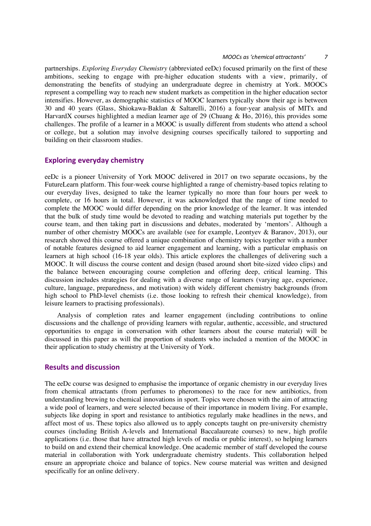partnerships. *Exploring Everyday Chemistry* (abbreviated eeDc) focused primarily on the first of these ambitions, seeking to engage with pre-higher education students with a view, primarily, of demonstrating the benefits of studying an undergraduate degree in chemistry at York. MOOCs represent a compelling way to reach new student markets as competition in the higher education sector intensifies. However, as demographic statistics of MOOC learners typically show their age is between 30 and 40 years (Glass, Shiokawa-Baklan & Saltarelli, 2016) a four-year analysis of MITx and HarvardX courses highlighted a median learner age of 29 (Chuang & Ho, 2016), this provides some challenges. The profile of a learner in a MOOC is usually different from students who attend a school or college, but a solution may involve designing courses specifically tailored to supporting and building on their classroom studies.

# **Exploring everyday chemistry**

eeDc is a pioneer University of York MOOC delivered in 2017 on two separate occasions, by the FutureLearn platform. This four-week course highlighted a range of chemistry-based topics relating to our everyday lives, designed to take the learner typically no more than four hours per week to complete, or 16 hours in total. However, it was acknowledged that the range of time needed to complete the MOOC would differ depending on the prior knowledge of the learner. It was intended that the bulk of study time would be devoted to reading and watching materials put together by the course team, and then taking part in discussions and debates, moderated by 'mentors'. Although a number of other chemistry MOOCs are available (see for example, Leontyev & Baranov, 2013), our research showed this course offered a unique combination of chemistry topics together with a number of notable features designed to aid learner engagement and learning, with a particular emphasis on learners at high school (16-18 year olds). This article explores the challenges of delivering such a MOOC. It will discuss the course content and design (based around short bite-sized video clips) and the balance between encouraging course completion and offering deep, critical learning. This discussion includes strategies for dealing with a diverse range of learners (varying age, experience, culture, language, preparedness, and motivation) with widely different chemistry backgrounds (from high school to PhD-level chemists (i.e. those looking to refresh their chemical knowledge), from leisure learners to practising professionals).

Analysis of completion rates and learner engagement (including contributions to online discussions and the challenge of providing learners with regular, authentic, accessible, and structured opportunities to engage in conversation with other learners about the course material) will be discussed in this paper as will the proportion of students who included a mention of the MOOC in their application to study chemistry at the University of York.

# **Results and discussion**

The eeDc course was designed to emphasise the importance of organic chemistry in our everyday lives from chemical attractants (from perfumes to pheromones) to the race for new antibiotics, from understanding brewing to chemical innovations in sport. Topics were chosen with the aim of attracting a wide pool of learners, and were selected because of their importance in modern living. For example, subjects like doping in sport and resistance to antibiotics regularly make headlines in the news, and affect most of us. These topics also allowed us to apply concepts taught on pre-university chemistry courses (including British A-levels and International Baccalaureate courses) to new, high profile applications (i.e. those that have attracted high levels of media or public interest), so helping learners to build on and extend their chemical knowledge. One academic member of staff developed the course material in collaboration with York undergraduate chemistry students. This collaboration helped ensure an appropriate choice and balance of topics. New course material was written and designed specifically for an online delivery.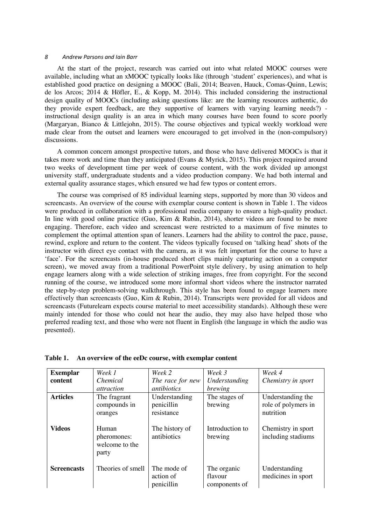At the start of the project, research was carried out into what related MOOC courses were available, including what an xMOOC typically looks like (through 'student' experiences), and what is established good practice on designing a MOOC (Bali, 2014; Beaven, Hauck, Comas-Quinn, Lewis; de los Arcos; 2014 & Höfler, E., & Kopp, M. 2014). This included considering the instructional design quality of MOOCs (including asking questions like: are the learning resources authentic, do they provide expert feedback, are they supportive of learners with varying learning needs?) instructional design quality is an area in which many courses have been found to score poorly (Margaryan, Bianco & Littlejohn, 2015). The course objectives and typical weekly workload were made clear from the outset and learners were encouraged to get involved in the (non-compulsory) discussions.

A common concern amongst prospective tutors, and those who have delivered MOOCs is that it takes more work and time than they anticipated (Evans & Myrick, 2015). This project required around two weeks of development time per week of course content, with the work divided up amongst university staff, undergraduate students and a video production company. We had both internal and external quality assurance stages, which ensured we had few typos or content errors.

The course was comprised of 85 individual learning steps, supported by more than 30 videos and screencasts. An overview of the course with exemplar course content is shown in Table 1. The videos were produced in collaboration with a professional media company to ensure a high-quality product. In line with good online practice (Guo, Kim & Rubin, 2014), shorter videos are found to be more engaging. Therefore, each video and screencast were restricted to a maximum of five minutes to complement the optimal attention span of leaners. Learners had the ability to control the pace, pause, rewind, explore and return to the content. The videos typically focused on 'talking head' shots of the instructor with direct eye contact with the camera, as it was felt important for the course to have a 'face'. For the screencasts (in-house produced short clips mainly capturing action on a computer screen), we moved away from a traditional PowerPoint style delivery, by using animation to help engage learners along with a wide selection of striking images, free from copyright. For the second running of the course, we introduced some more informal short videos where the instructor narrated the step-by-step problem-solving walkthrough. This style has been found to engage learners more effectively than screencasts (Guo, Kim & Rubin, 2014). Transcripts were provided for all videos and screencasts (Futurelearn expects course material to meet accessibility standards). Although these were mainly intended for those who could not hear the audio, they may also have helped those who preferred reading text, and those who were not fluent in English (the language in which the audio was presented).

| <b>Exemplar</b>    | Week 1                                          | Week 2                                    | Week 3                                  | Week 4                                                |
|--------------------|-------------------------------------------------|-------------------------------------------|-----------------------------------------|-------------------------------------------------------|
| content            | Chemical                                        | The race for new                          | Understanding                           | Chemistry in sport                                    |
|                    | <i>attraction</i>                               | <i>antibiotics</i>                        | brewing                                 |                                                       |
| <b>Articles</b>    | The fragrant<br>compounds in<br>oranges         | Understanding<br>penicillin<br>resistance | The stages of<br>brewing                | Understanding the<br>role of polymers in<br>nutrition |
| <b>Videos</b>      | Human<br>pheromones:<br>welcome to the<br>party | The history of<br>antibiotics             | Introduction to<br>brewing              | Chemistry in sport<br>including stadiums              |
| <b>Screencasts</b> | Theories of smell                               | The mode of<br>action of<br>penicillin    | The organic<br>flavour<br>components of | Understanding<br>medicines in sport                   |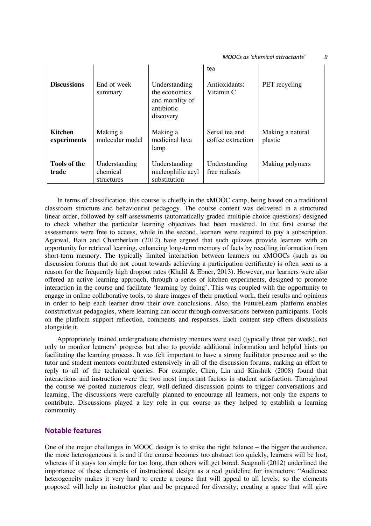#### *MOOCs as 'chemical attractants' 9*

| <b>Discussions</b>            | End of week<br>summary                  | Understanding<br>the economics<br>and morality of<br>antibiotic | tea<br>Antioxidants:<br>Vitamin C   | <b>PET</b> recycling        |
|-------------------------------|-----------------------------------------|-----------------------------------------------------------------|-------------------------------------|-----------------------------|
| <b>Kitchen</b><br>experiments | Making a<br>molecular model             | discovery<br>Making a<br>medicinal lava<br>lamp                 | Serial tea and<br>coffee extraction | Making a natural<br>plastic |
| <b>Tools of the</b><br>trade  | Understanding<br>chemical<br>structures | Understanding<br>nucleophilic acyl<br>substitution              | Understanding<br>free radicals      | Making polymers             |

In terms of classification, this course is chiefly in the xMOOC camp, being based on a traditional classroom structure and behaviourist pedagogy. The course content was delivered in a structured linear order, followed by self-assessments (automatically graded multiple choice questions) designed to check whether the particular learning objectives had been mastered. In the first course the assessments were free to access, while in the second, learners were required to pay a subscription. Agarwal, Bain and Chamberlain (2012) have argued that such quizzes provide learners with an opportunity for retrieval learning, enhancing long-term memory of facts by recalling information from short-term memory. The typically limited interaction between learners on xMOOCs (such as on discussion forums that do not count towards achieving a participation certificate) is often seen as a reason for the frequently high dropout rates (Khalil & Ebner, 2013). However, our learners were also offered an active learning approach, through a series of kitchen experiments, designed to promote interaction in the course and facilitate 'learning by doing'. This was coupled with the opportunity to engage in online collaborative tools, to share images of their practical work, their results and opinions in order to help each learner draw their own conclusions. Also, the FutureLearn platform enables constructivist pedagogies, where learning can occur through conversations between participants. Tools on the platform support reflection, comments and responses. Each content step offers discussions alongside it.

Appropriately trained undergraduate chemistry mentors were used (typically three per week), not only to monitor learners' progress but also to provide additional information and helpful hints on facilitating the learning process. It was felt important to have a strong facilitator presence and so the tutor and student mentors contributed extensively in all of the discussion forums, making an effort to reply to all of the technical queries. For example, Chen, Lin and Kinshuk (2008) found that interactions and instruction were the two most important factors in student satisfaction. Throughout the course we posted numerous clear, well-defined discussion points to trigger conversations and learning. The discussions were carefully planned to encourage all learners, not only the experts to contribute. Discussions played a key role in our course as they helped to establish a learning community.

# **Notable features**

One of the major challenges in MOOC design is to strike the right balance – the bigger the audience, the more heterogeneous it is and if the course becomes too abstract too quickly, learners will be lost, whereas if it stays too simple for too long, then others will get bored. Scagnoli (2012) underlined the importance of these elements of instructional design as a real guideline for instructors: "Audience heterogeneity makes it very hard to create a course that will appeal to all levels; so the elements proposed will help an instructor plan and be prepared for diversity, creating a space that will give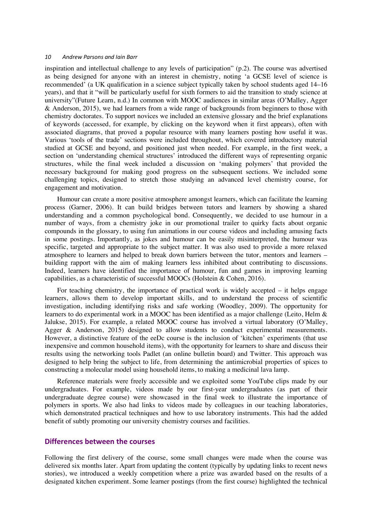inspiration and intellectual challenge to any levels of participation" (p.2). The course was advertised as being designed for anyone with an interest in chemistry, noting 'a GCSE level of science is recommended' (a UK qualification in a science subject typically taken by school students aged 14–16 years), and that it "will be particularly useful for sixth formers to aid the transition to study science at university"(Future Learn, n.d.) In common with MOOC audiences in similar areas (O'Malley, Agger & Anderson, 2015), we had learners from a wide range of backgrounds from beginners to those with chemistry doctorates. To support novices we included an extensive glossary and the brief explanations of keywords (accessed, for example, by clicking on the keyword when it first appears), often with associated diagrams, that proved a popular resource with many learners posting how useful it was. Various 'tools of the trade' sections were included throughout, which covered introductory material studied at GCSE and beyond, and positioned just when needed. For example, in the first week, a section on 'understanding chemical structures' introduced the different ways of representing organic structures, while the final week included a discussion on 'making polymers' that provided the necessary background for making good progress on the subsequent sections. We included some challenging topics, designed to stretch those studying an advanced level chemistry course, for engagement and motivation.

Humour can create a more positive atmosphere amongst learners, which can facilitate the learning process (Garner, 2006). It can build bridges between tutors and learners by showing a shared understanding and a common psychological bond. Consequently, we decided to use humour in a number of ways, from a chemistry joke in our promotional trailer to quirky facts about organic compounds in the glossary, to using fun animations in our course videos and including amusing facts in some postings. Importantly, as jokes and humour can be easily misinterpreted, the humour was specific, targeted and appropriate to the subject matter. It was also used to provide a more relaxed atmosphere to learners and helped to break down barriers between the tutor, mentors and learners – building rapport with the aim of making learners less inhibited about contributing to discussions. Indeed, learners have identified the importance of humour, fun and games in improving learning capabilities, as a characteristic of successful MOOCs (Holstein & Cohen, 2016).

For teaching chemistry, the importance of practical work is widely accepted – it helps engage learners, allows them to develop important skills, and to understand the process of scientific investigation, including identifying risks and safe working (Woodley, 2009). The opportunity for learners to do experimental work in a MOOC has been identified as a major challenge (Leito, Helm & Jalukse, 2015). For example, a related MOOC course has involved a virtual laboratory (O'Malley, Agger & Anderson, 2015) designed to allow students to conduct experimental measurements. However, a distinctive feature of the eeDc course is the inclusion of 'kitchen' experiments (that use inexpensive and common household items), with the opportunity for learners to share and discuss their results using the networking tools Padlet (an online bulletin board) and Twitter. This approach was designed to help bring the subject to life, from determining the antimicrobial properties of spices to constructing a molecular model using household items, to making a medicinal lava lamp.

Reference materials were freely accessible and we exploited some YouTube clips made by our undergraduates. For example, videos made by our first-year undergraduates (as part of their undergraduate degree course) were showcased in the final week to illustrate the importance of polymers in sports. We also had links to videos made by colleagues in our teaching laboratories, which demonstrated practical techniques and how to use laboratory instruments. This had the added benefit of subtly promoting our university chemistry courses and facilities.

## **Differences between the courses**

Following the first delivery of the course, some small changes were made when the course was delivered six months later. Apart from updating the content (typically by updating links to recent news stories), we introduced a weekly competition where a prize was awarded based on the results of a designated kitchen experiment. Some learner postings (from the first course) highlighted the technical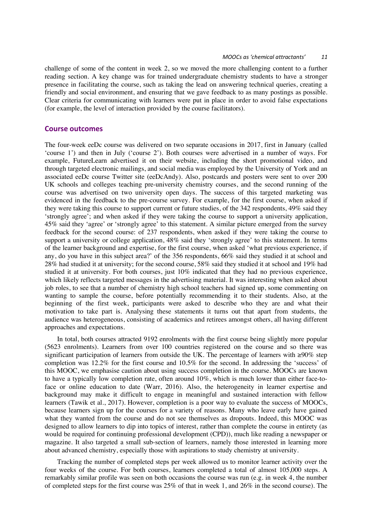challenge of some of the content in week 2, so we moved the more challenging content to a further reading section. A key change was for trained undergraduate chemistry students to have a stronger presence in facilitating the course, such as taking the lead on answering technical queries, creating a friendly and social environment, and ensuring that we gave feedback to as many postings as possible. Clear criteria for communicating with learners were put in place in order to avoid false expectations (for example, the level of interaction provided by the course facilitators).

### **Course outcomes**

The four-week eeDc course was delivered on two separate occasions in 2017, first in January (called 'course 1') and then in July ('course 2'). Both courses were advertised in a number of ways. For example, FutureLearn advertised it on their website, including the short promotional video, and through targeted electronic mailings, and social media was employed by the University of York and an associated eeDc course Twitter site (eeDcAndy). Also, postcards and posters were sent to over 200 UK schools and colleges teaching pre-university chemistry courses, and the second running of the course was advertised on two university open days. The success of this targeted marketing was evidenced in the feedback to the pre-course survey. For example, for the first course, when asked if they were taking this course to support current or future studies, of the 342 respondents, 49% said they 'strongly agree'; and when asked if they were taking the course to support a university application, 45% said they 'agree' or 'strongly agree' to this statement. A similar picture emerged from the survey feedback for the second course: of 237 respondents, when asked if they were taking the course to support a university or college application, 48% said they 'strongly agree' to this statement. In terms of the learner background and expertise, for the first course, when asked 'what previous experience, if any, do you have in this subject area?' of the 356 respondents, 66% said they studied it at school and 28% had studied it at university; for the second course, 58% said they studied it at school and 19% had studied it at university. For both courses, just 10% indicated that they had no previous experience, which likely reflects targeted messages in the advertising material. It was interesting when asked about job roles, to see that a number of chemistry high school teachers had signed up, some commenting on wanting to sample the course, before potentially recommending it to their students. Also, at the beginning of the first week, participants were asked to describe who they are and what their motivation to take part is. Analysing these statements it turns out that apart from students, the audience was heterogeneous, consisting of academics and retirees amongst others, all having different approaches and expectations.

In total, both courses attracted 9192 enrolments with the first course being slightly more popular (5623 enrolments). Learners from over 100 countries registered on the course and so there was significant participation of learners from outside the UK. The percentage of learners with ≥90% step completion was 12.2% for the first course and 10.5% for the second. In addressing the 'success' of this MOOC, we emphasise caution about using success completion in the course. MOOCs are known to have a typically low completion rate, often around 10%, which is much lower than either face-toface or online education to date (Warr, 2016). Also, the heterogeneity in learner expertise and background may make it difficult to engage in meaningful and sustained interaction with fellow learners (Tawik et al., 2017). However, completion is a poor way to evaluate the success of MOOCs, because learners sign up for the courses for a variety of reasons. Many who leave early have gained what they wanted from the course and do not see themselves as dropouts. Indeed, this MOOC was designed to allow learners to dip into topics of interest, rather than complete the course in entirety (as would be required for continuing professional development (CPD)), much like reading a newspaper or magazine. It also targeted a small sub-section of learners, namely those interested in learning more about advanced chemistry, especially those with aspirations to study chemistry at university.

Tracking the number of completed steps per week allowed us to monitor learner activity over the four weeks of the course. For both courses, learners completed a total of almost 105,000 steps. A remarkably similar profile was seen on both occasions the course was run (e.g. in week 4, the number of completed steps for the first course was 25% of that in week 1, and 26% in the second course). The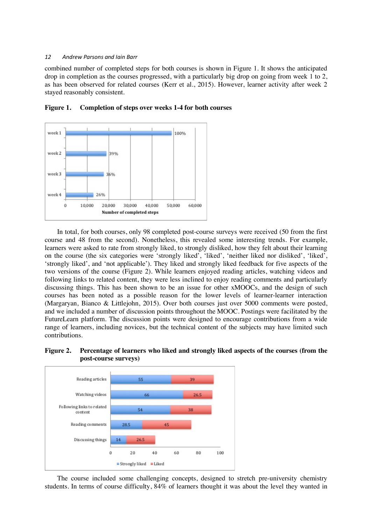combined number of completed steps for both courses is shown in Figure 1. It shows the anticipated drop in completion as the courses progressed, with a particularly big drop on going from week 1 to 2, as has been observed for related courses (Kerr et al., 2015). However, learner activity after week 2 stayed reasonably consistent.



#### **Figure 1. Completion of steps over weeks 1-4 for both courses**

In total, for both courses, only 98 completed post-course surveys were received (50 from the first course and 48 from the second). Nonetheless, this revealed some interesting trends. For example, learners were asked to rate from strongly liked, to strongly disliked, how they felt about their learning on the course (the six categories were 'strongly liked', 'liked', 'neither liked nor disliked', 'liked', 'strongly liked', and 'not applicable'). They liked and strongly liked feedback for five aspects of the two versions of the course (Figure 2). While learners enjoyed reading articles, watching videos and following links to related content, they were less inclined to enjoy reading comments and particularly discussing things. This has been shown to be an issue for other xMOOCs, and the design of such courses has been noted as a possible reason for the lower levels of learner-learner interaction (Margaryan, Bianco & Littlejohn, 2015). Over both courses just over 5000 comments were posted, and we included a number of discussion points throughout the MOOC. Postings were facilitated by the FutureLearn platform. The discussion points were designed to encourage contributions from a wide range of learners, including novices, but the technical content of the subjects may have limited such contributions.





The course included some challenging concepts, designed to stretch pre-university chemistry students. In terms of course difficulty, 84% of learners thought it was about the level they wanted in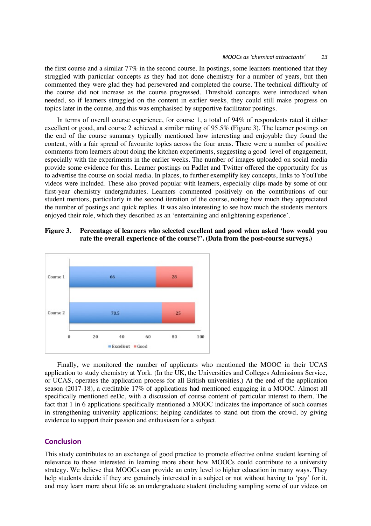the first course and a similar 77% in the second course. In postings, some learners mentioned that they struggled with particular concepts as they had not done chemistry for a number of years, but then commented they were glad they had persevered and completed the course. The technical difficulty of the course did not increase as the course progressed. Threshold concepts were introduced when needed, so if learners struggled on the content in earlier weeks, they could still make progress on topics later in the course, and this was emphasised by supportive facilitator postings.

In terms of overall course experience, for course 1, a total of 94% of respondents rated it either excellent or good, and course 2 achieved a similar rating of 95.5% (Figure 3). The learner postings on the end of the course summary typically mentioned how interesting and enjoyable they found the content, with a fair spread of favourite topics across the four areas. There were a number of positive comments from learners about doing the kitchen experiments, suggesting a good level of engagement, especially with the experiments in the earlier weeks. The number of images uploaded on social media provide some evidence for this. Learner postings on Padlet and Twitter offered the opportunity for us to advertise the course on social media. In places, to further exemplify key concepts, links to YouTube videos were included. These also proved popular with learners, especially clips made by some of our first-year chemistry undergraduates. Learners commented positively on the contributions of our student mentors, particularly in the second iteration of the course, noting how much they appreciated the number of postings and quick replies. It was also interesting to see how much the students mentors enjoyed their role, which they described as an 'entertaining and enlightening experience'.

# **Figure 3. Percentage of learners who selected excellent and good when asked 'how would you rate the overall experience of the course?'. (Data from the post-course surveys.)**



Finally, we monitored the number of applicants who mentioned the MOOC in their UCAS application to study chemistry at York. (In the UK, the Universities and Colleges Admissions Service, or UCAS, operates the application process for all British universities.) At the end of the application season (2017-18), a creditable 17% of applications had mentioned engaging in a MOOC. Almost all specifically mentioned eeDc, with a discussion of course content of particular interest to them. The fact that 1 in 6 applications specifically mentioned a MOOC indicates the importance of such courses in strengthening university applications; helping candidates to stand out from the crowd, by giving evidence to support their passion and enthusiasm for a subject.

## **Conclusion**

This study contributes to an exchange of good practice to promote effective online student learning of relevance to those interested in learning more about how MOOCs could contribute to a university strategy. We believe that MOOCs can provide an entry level to higher education in many ways. They help students decide if they are genuinely interested in a subject or not without having to 'pay' for it, and may learn more about life as an undergraduate student (including sampling some of our videos on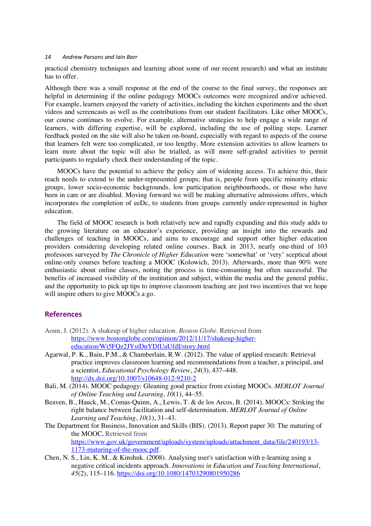practical chemistry techniques and learning about some of our recent research) and what an institute has to offer.

Although there was a small response at the end of the course to the final survey, the responses are helpful in determining if the online pedagogy MOOCs outcomes were recognized and/or achieved. For example, learners enjoyed the variety of activities, including the kitchen experiments and the short videos and screencasts as well as the contributions from our student facilitators. Like other MOOCs, our course continues to evolve. For example, alternative strategies to help engage a wide range of learners, with differing expertise, will be explored, including the use of polling steps. Learner feedback posted on the site will also be taken on-board, especially with regard to aspects of the course that learners felt were too complicated, or too lengthy. More extension activities to allow learners to learn more about the topic will also be trialled, as will more self-graded activities to permit participants to regularly check their understanding of the topic.

MOOCs have the potential to achieve the policy aim of widening access. To achieve this, their reach needs to extend to the under-represented groups; that is, people from specific minority ethnic groups, lower socio-economic backgrounds, low participation neighbourhoods, or those who have been in care or are disabled. Moving forward we will be making alternative admissions offers, which incorporates the completion of eeDc, to students from groups currently under-represented in higher education.

The field of MOOC research is both relatively new and rapidly expanding and this study adds to the growing literature on an educator's experience, providing an insight into the rewards and challenges of teaching in MOOCs, and aims to encourage and support other higher education providers considering developing related online courses. Back in 2013, nearly one-third of 103 professors surveyed by *The Chronicle of Higher Education* were 'somewhat' or 'very' sceptical about online-only courses before teaching a MOOC (Kolowich, 2013). Afterwards, more than 90% were enthusiastic about online classes, noting the process is time-consuming but often successful. The benefits of increased visibility of the institution and subject, within the media and the general public, and the opportunity to pick up tips to improve classroom teaching are just two incentives that we hope will inspire others to give MOOCs a go.

## **References**

- Aoun, J. (2012). A shakeup of higher education. *Boston Globe*. Retrieved from https://www.bostonglobe.com/opinion/2012/11/17/shakeup-highereducation/Wi5FQz2JYstDnYDlUaUfdI/story.html
- Agarwal, P. K., Bain, P.M., & Chamberlain, R.W. (2012). The value of applied research: Retrieval practice improves classroom learning and recommendations from a teacher, a principal, and a scientist, *Educational Psychology Review*, *24*(3), 437–448. http://dx.doi.org/10.1007/s10648-012-9210-2
- Bali, M. (2014). MOOC pedagogy: Gleaning good practice from existing MOOCs. *MERLOT Journal of Online Teaching and Learning*, *10*(1), 44–55.
- Beaven, B., Hauck, M., Comas-Quinn, A., Lewis, T. & de los Arcos, B. (2014). MOOCs: Striking the right balance between facilitation and self-determination. *MERLOT Journal of Online Learning and Teaching*, *10*(1), 31–43.
- The Department for Business, Innovation and Skills (BIS). (2013). Report paper 30: The maturing of the MOOC*.* Retrieved from https://www.gov.uk/government/uploads/system/uploads/attachment\_data/file/240193/13-1173-maturing-of-the-mooc.pdf.
- Chen, N. S., Lin, K. M., & Kinshuk. (2008). Analysing user's satisfaction with e-learning using a negative critical incidents approach. *Innovations in Education and Teaching International*, *45*(2), 115–116. https://doi.org/10.1080/14703290801950286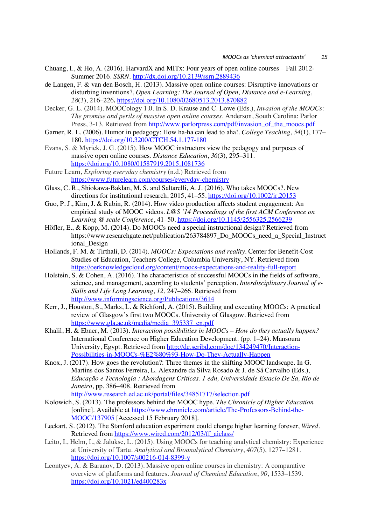- Chuang, I., & Ho, A. (2016). HarvardX and MITx: Four years of open online courses Fall 2012- Summer 2016. *SSRN*. http://dx.doi.org/10.2139/ssrn.2889436
- de Langen, F. & van den Bosch, H. (2013). Massive open online courses: Disruptive innovations or disturbing inventions?, *Open Learning: The Journal of Open, Distance and e-Learning*, *28*(3), 216–226*.* https://doi.org/10.1080/02680513.2013.870882
- Decker, G. L. (2014). MOOCology 1.0. In S. D. Krause and C. Lowe (Eds.), *Invasion of the MOOCs: The promise and perils of massive open online courses*. Anderson, South Carolina: Parlor Press, 3-13. Retrieved from http://www.parlorpress.com/pdf/invasion\_of\_the\_moocs.pdf
- Garner, R. L. (2006). Humor in pedagogy: How ha-ha can lead to aha!. *College Teaching*, *54*(1), 177– 180. https://doi.org/10.3200/CTCH.54.1.177-180
- Evans, S. & Myrick, J. G. (2015). How MOOC instructors view the pedagogy and purposes of massive open online courses. *Distance Education*, *36*(3), 295–311. https://doi.org/10.1080/01587919.2015.1081736
- Future Learn, *Exploring everyday chemistry* (n.d.) Retrieved from https://www.futurelearn.com/courses/everyday-chemistry
- Glass, C. R., Shiokawa-Baklan, M. S. and Saltarelli, A. J. (2016). Who takes MOOCs?. New directions for institutional research, 2015, 41–55. https://doi.org/10.1002/ir.20153
- Guo, P. J., Kim, J. & Rubin, R. (2014). How video production affects student engagement: An empirical study of MOOC videos. *L@S '14 Proceedings of the first ACM Conference on Learning @ scale Conference*, 41–50. https://doi.org/10.1145/2556325.2566239
- Höfler, E., & Kopp, M. (2014). Do MOOCs need a special instructional design? Retrieved from https://www.researchgate.net/publication/263784897\_Do\_MOOCs\_need\_a\_Special\_Instruct ional\_Design
- Hollands, F. M. & Tirthali, D. (2014). *MOOCs: Expectations and reality.* Center for Benefit-Cost Studies of Education, Teachers College, Columbia University, NY. Retrieved from https://oerknowledgecloud.org/content/moocs-expectations-and-reality-full-report
- Holstein, S. & Cohen, A. (2016). The characteristics of successful MOOCs in the fields of software, science, and management, according to students' perception. *Interdisciplinary Journal of e-Skills and Life Long Learning*, *12*, 247–266. Retrieved from http://www.informingscience.org/Publications/3614
- Kerr, J., Houston, S., Marks, L. & Richford, A. (2015). Building and executing MOOCs: A practical review of Glasgow's first two MOOCs. University of Glasgow. Retrieved from https://www.gla.ac.uk/media/media\_395337\_en.pdf
- Khalil, H. & Ebner, M. (2013). *Interaction possibilities in MOOCs – How do they actually happen?* International Conference on Higher Education Development. (pp. 1–24). Mansoura University, Egypt. Retrieved from http://de.scribd.com/doc/134249470/Interaction-Possibilities-in-MOOCs-%E2%80%93-How-Do-They-Actually-Happen
- Knox, J. (2017). How goes the revolution?: Three themes in the shifting MOOC landscape. In G. Martins dos Santos Ferreira, L. Alexandre da Silva Rosado & J. de Sá Carvalho (Eds.), *Educação e Tecnologia : Abordagens Criticas. 1 edn, Universidade Estacio De Sa, Rio de Janeiro*, pp. 386–408. Retrieved from http://www.research.ed.ac.uk/portal/files/34851717/selection.pdf
- Kolowich, S. (2013). The professors behind the MOOC hype. *The Chronicle of Higher Education* [online]. Available at https://www.chronicle.com/article/The-Professors-Behind-the-MOOC/137905 [Accessed 15 February 2018].
- Leckart, S. (2012). The Stanford education experiment could change higher learning forever, *Wired*. Retrieved from https://www.wired.com/2012/03/ff\_aiclass/
- Leito, I., Helm, I., & Jalukse, L. (2015). Using MOOCs for teaching analytical chemistry: Experience at University of Tartu. *Analytical and Bioanalytical Chemistry*, *407*(5), 1277–1281. https://doi.org/10.1007/s00216-014-8399-y
- Leontyev, A. & Baranov, D. (2013). Massive open online courses in chemistry: A comparative overview of platforms and features. *Journal of Chemical Education*, *90*, 1533–1539. https://doi.org/10.1021/ed400283x